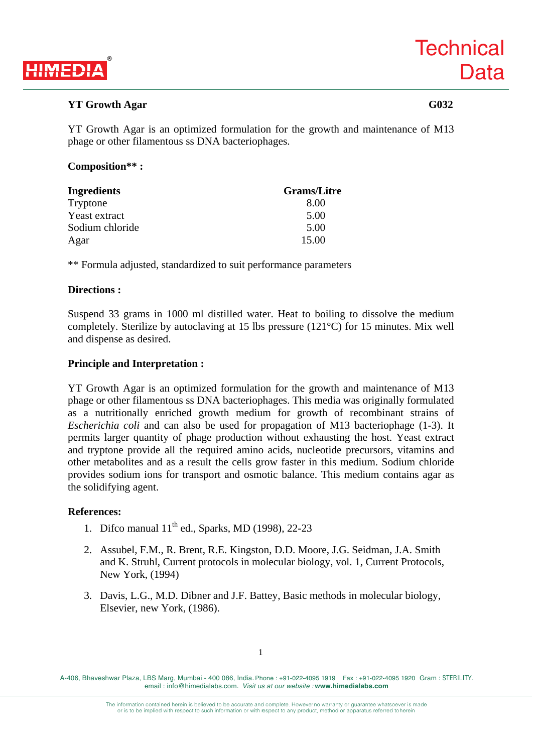

## **YT Growth Agar G032**

YT Growth Agar is an optimized formulation for the growth and maintenance of M13 phage or other filamentous ss DNA bacteriophages.

### **Composition\*\* :**

| Ingredients     | <b>Grams/Litre</b> |
|-----------------|--------------------|
| Tryptone        | 8.00               |
| Yeast extract   | 5.00               |
| Sodium chloride | 5.00               |
| Agar            | 15.00              |

\*\* Formula adjusted, standardized to suit performance parameters

#### **Directions :**

Suspend 33 grams in 1000 ml distilled water. Heat to boiling to dissolve the medium completely. Sterilize by autoclaving at 15 lbs pressure (121°C) for 15 minutes. Mix well and dispense as desired.

#### **Principle and Interpretation :**

YT Growth Agar is an optimized formulation for the growth and maintenance of M13 phage or other filamentous ss DNA bacteriophages. This media was originally formulated as a nutritionally enriched growth medium for growth of recombinant strains of *Escherichia coli* and can also be used for propagation of M13 bacteriophage (1-3). It permits larger quantity of phage production without exhausting the host. Yeast extract and tryptone provide all the required amino acids, nucleotide precursors, vitamins and other metabolites and as a result the cells grow faster in this medium. Sodium chloride provides sodium ions for transport and osmotic balance. This medium contains agar as the solidifying agent.

#### **References:**

- 1. Difco manual  $11<sup>th</sup>$  ed., Sparks, MD (1998), 22-23
- 2. Assubel, F.M., R. Brent, R.E. Kingston, D.D. Moore, J.G. Seidman, J.A. Smith and K. Struhl, Current protocols in molecular biology, vol. 1, Current Protocols, New York, (1994)
- 3. Davis, L.G., M.D. Dibner and J.F. Battey, Basic methods in molecular biology, Elsevier, new York, (1986).

A-406, Bhaveshwar Plaza, LBS Marg, Mumbai - 400 086, India. Phone : +91-022-4095 1919 Fax : +91-022-4095 1920 Gram : STERILITY. email : info@himedialabs.com. *Visit us at our website :* **www.himedialabs.com**

> The information contained herein is believed to be accurate and complete. However no warranty or guarantee whatsoever is made or is to be implied with respect to such information or with respect to any product, method or apparatus referred to herein